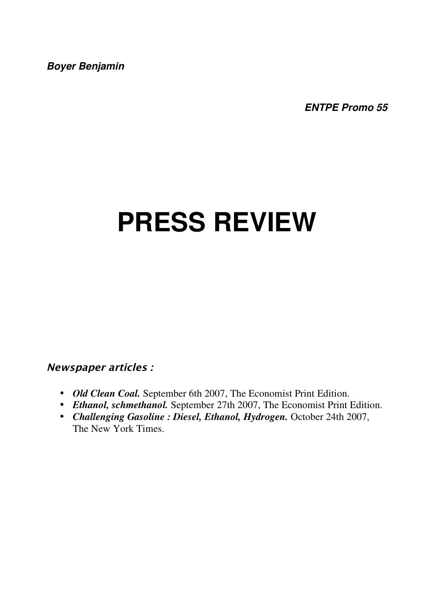**Boyer Benjamin** 

 **ENTPE Promo 55** 

# **PRESS REVIEW**

## **Newspaper articles :**

- *Old Clean Coal.* September 6th 2007, The Economist Print Edition.
- *Ethanol, schmethanol.* September 27th 2007, The Economist Print Edition.
- *Challenging Gasoline : Diesel, Ethanol, Hydrogen.* October 24th 2007, The New York Times.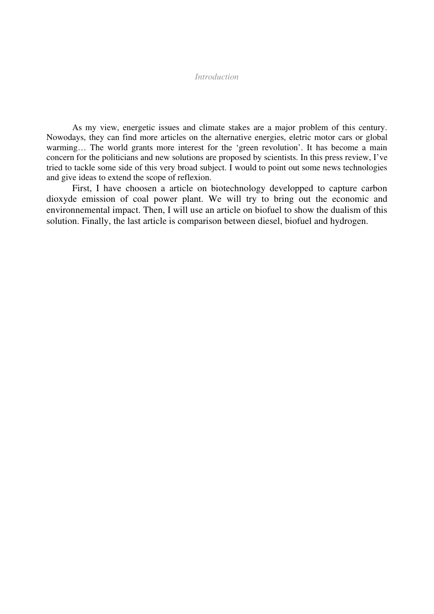#### *Introduction*

 As my view, energetic issues and climate stakes are a major problem of this century. Nowodays, they can find more articles on the alternative energies, eletric motor cars or global warming... The world grants more interest for the 'green revolution'. It has become a main concern for the politicians and new solutions are proposed by scientists. In this press review, I've tried to tackle some side of this very broad subject. I would to point out some news technologies and give ideas to extend the scope of reflexion.

 First, I have choosen a article on biotechnology developped to capture carbon dioxyde emission of coal power plant. We will try to bring out the economic and environnemental impact. Then, I will use an article on biofuel to show the dualism of this solution. Finally, the last article is comparison between diesel, biofuel and hydrogen.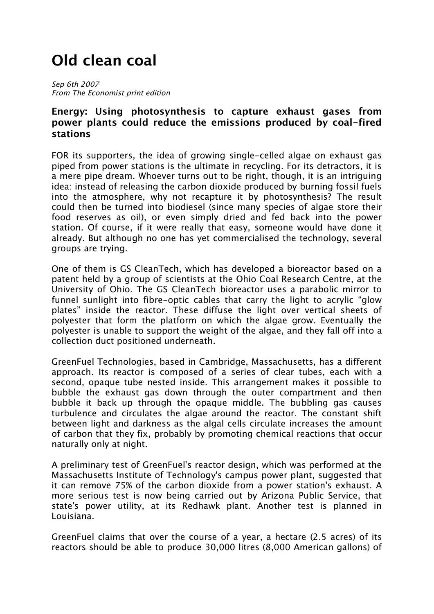# **Old clean coal**

Sep 6th 2007 From The Economist print edition

### **Energy: Using photosynthesis to capture exhaust gases from power plants could reduce the emissions produced by coal-fired stations**

*FOR its supporters, the idea of growing single-celled algae on exhaust gas piped from power stations is the ultimate in recycling. For its detractors, it is a mere pipe dream. Whoever turns out to be right, though, it is an intriguing idea: instead of releasing the carbon dioxide produced by burning fossil fuels*  into the atmosphere, why not recapture it by photosynthesis? The result *could then be turned into biodiesel (since many species of algae store their food reserves as oil), or even simply dried and fed back into the power station. Of course, if it were really that easy, someone would have done it already. But although no one has yet commercialised the technology, several groups are trying.* 

*One of them is GS CleanTech, which has developed a bioreactor based on a patent held by a group of scientists at the Ohio Coal Research Centre, at the University of Ohio. The GS CleanTech bioreactor uses a parabolic mirror to funnel sunlight into fibre-optic cables that carry the light to acrylic "glow plates" inside the reactor. These diffuse the light over vertical sheets of polyester that form the platform on which the algae grow. Eventually the polyester is unable to support the weight of the algae, and they fall off into a collection duct positioned underneath.* 

*GreenFuel Technologies, based in Cambridge, Massachusetts, has a different*  approach. Its reactor is composed of a series of clear tubes, each with a *second, opaque tube nested inside. This arrangement makes it possible to bubble the exhaust gas down through the outer compartment and then bubble it back up through the opaque middle. The bubbling gas causes turbulence and circulates the algae around the reactor. The constant shift between light and darkness as the algal cells circulate increases the amount of carbon that they fix, probably by promoting chemical reactions that occur naturally only at night.* 

*A preliminary test of GreenFuel's reactor design, which was performed at the Massachusetts Institute of Technology's campus power plant, suggested that it can remove 75% of the carbon dioxide from a power station's exhaust. A more serious test is now being carried out by Arizona Public Service, that state's power utility, at its Redhawk plant. Another test is planned in Louisiana.* 

*GreenFuel claims that over the course of a year, a hectare (2.5 acres) of its reactors should be able to produce 30,000 litres (8,000 American gallons) of*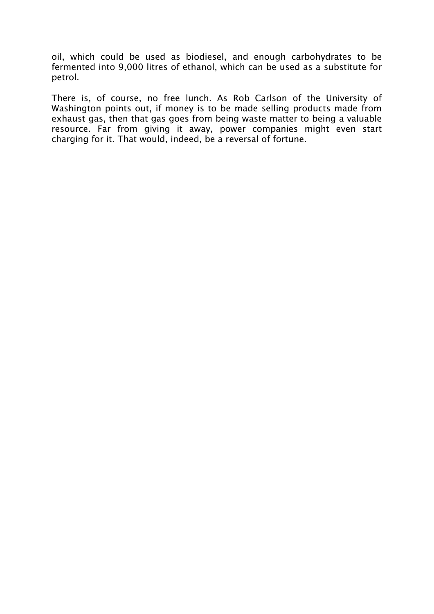oil, which could be used as biodiesel, and enough carbohydrates to be fermented into 9,000 litres of ethanol, which can be used as a substitute for petrol.

There is, of course, no free lunch. As Rob Carlson of the University of Washington points out, if money is to be made selling products made from exhaust gas, then that gas goes from being waste matter to being a valuable resource. Far from giving it away, power companies might even start charging for it. That would, indeed, be a reversal of fortune.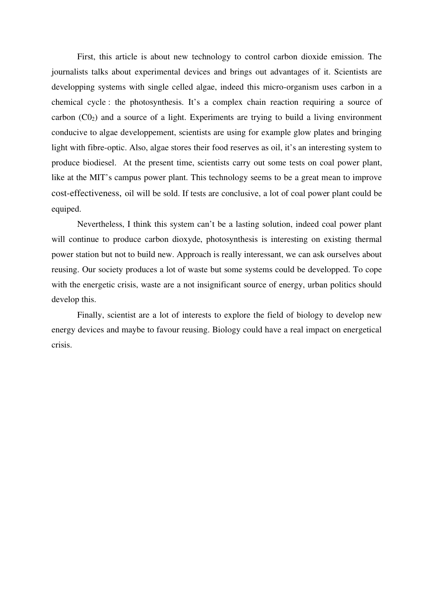First, this article is about new technology to control carbon dioxide emission. The journalists talks about experimental devices and brings out advantages of it. Scientists are developping systems with single celled algae, indeed this micro-organism uses carbon in a chemical cycle : the photosynthesis. It's a complex chain reaction requiring a source of carbon  $(C0<sub>2</sub>)$  and a source of a light. Experiments are trying to build a living environment conducive to algae developpement, scientists are using for example glow plates and bringing light with fibre-optic. Also, algae stores their food reserves as oil, it's an interesting system to produce biodiesel. At the present time, scientists carry out some tests on coal power plant, like at the MIT's campus power plant. This technology seems to be a great mean to improve cost-effectiveness, oil will be sold. If tests are conclusive, a lot of coal power plant could be equiped.

 Nevertheless, I think this system can't be a lasting solution, indeed coal power plant will continue to produce carbon dioxyde, photosynthesis is interesting on existing thermal power station but not to build new. Approach is really interessant, we can ask ourselves about reusing. Our society produces a lot of waste but some systems could be developped. To cope with the energetic crisis, waste are a not insignificant source of energy, urban politics should develop this.

 Finally, scientist are a lot of interests to explore the field of biology to develop new energy devices and maybe to favour reusing. Biology could have a real impact on energetical crisis.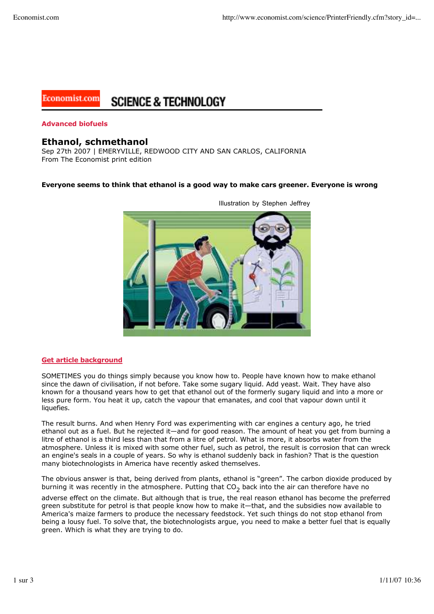#### Economist.com **SCIENCE & TECHNOLOGY**

#### **Advanced biofuels**

#### **Ethanol, schmethanol**

Sep 27th 2007 | EMERYVILLE, REDWOOD CITY AND SAN CARLOS, CALIFORNIA From The Economist print edition

#### **Everyone seems to think that ethanol is a good way to make cars greener. Everyone is wrong**



Illustration by Stephen Jeffrey

#### **Get article background**

SOMETIMES you do things simply because you know how to. People have known how to make ethanol since the dawn of civilisation, if not before. Take some sugary liquid. Add yeast. Wait. They have also known for a thousand years how to get that ethanol out of the formerly sugary liquid and into a more or less pure form. You heat it up, catch the vapour that emanates, and cool that vapour down until it liquefies.

The result burns. And when Henry Ford was experimenting with car engines a century ago, he tried ethanol out as a fuel. But he rejected it—and for good reason. The amount of heat you get from burning a litre of ethanol is a third less than that from a litre of petrol. What is more, it absorbs water from the atmosphere. Unless it is mixed with some other fuel, such as petrol, the result is corrosion that can wreck an engine's seals in a couple of years. So why is ethanol suddenly back in fashion? That is the question many biotechnologists in America have recently asked themselves.

The obvious answer is that, being derived from plants, ethanol is "green". The carbon dioxide produced by burning it was recently in the atmosphere. Putting that CO<sub>2</sub> back into the air can therefore have no

adverse effect on the climate. But although that is true, the real reason ethanol has become the preferred green substitute for petrol is that people know how to make it—that, and the subsidies now available to America's maize farmers to produce the necessary feedstock. Yet such things do not stop ethanol from being a lousy fuel. To solve that, the biotechnologists argue, you need to make a better fuel that is equally green. Which is what they are trying to do.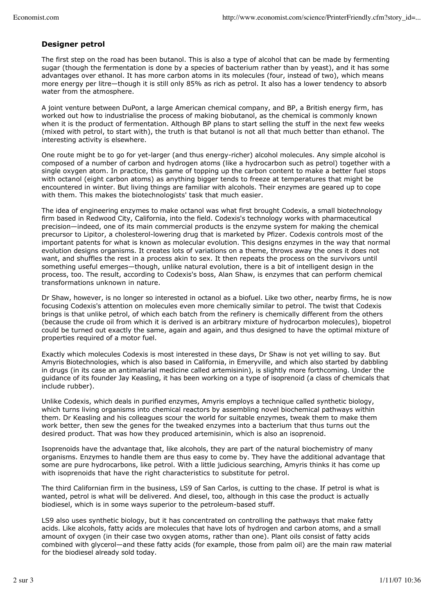#### **Designer petrol**

The first step on the road has been butanol. This is also a type of alcohol that can be made by fermenting sugar (though the fermentation is done by a species of bacterium rather than by yeast), and it has some advantages over ethanol. It has more carbon atoms in its molecules (four, instead of two), which means more energy per litre—though it is still only 85% as rich as petrol. It also has a lower tendency to absorb water from the atmosphere.

A joint venture between DuPont, a large American chemical company, and BP, a British energy firm, has worked out how to industrialise the process of making biobutanol, as the chemical is commonly known when it is the product of fermentation. Although BP plans to start selling the stuff in the next few weeks (mixed with petrol, to start with), the truth is that butanol is not all that much better than ethanol. The interesting activity is elsewhere.

One route might be to go for yet-larger (and thus energy-richer) alcohol molecules. Any simple alcohol is composed of a number of carbon and hydrogen atoms (like a hydrocarbon such as petrol) together with a single oxygen atom. In practice, this game of topping up the carbon content to make a better fuel stops with octanol (eight carbon atoms) as anything bigger tends to freeze at temperatures that might be encountered in winter. But living things are familiar with alcohols. Their enzymes are geared up to cope with them. This makes the biotechnologists' task that much easier.

The idea of engineering enzymes to make octanol was what first brought Codexis, a small biotechnology firm based in Redwood City, California, into the field. Codexis's technology works with pharmaceutical precision—indeed, one of its main commercial products is the enzyme system for making the chemical precursor to Lipitor, a cholesterol-lowering drug that is marketed by Pfizer. Codexis controls most of the important patents for what is known as molecular evolution. This designs enzymes in the way that normal evolution designs organisms. It creates lots of variations on a theme, throws away the ones it does not want, and shuffles the rest in a process akin to sex. It then repeats the process on the survivors until something useful emerges—though, unlike natural evolution, there is a bit of intelligent design in the process, too. The result, according to Codexis's boss, Alan Shaw, is enzymes that can perform chemical transformations unknown in nature.

Dr Shaw, however, is no longer so interested in octanol as a biofuel. Like two other, nearby firms, he is now focusing Codexis's attention on molecules even more chemically similar to petrol. The twist that Codexis brings is that unlike petrol, of which each batch from the refinery is chemically different from the others (because the crude oil from which it is derived is an arbitrary mixture of hydrocarbon molecules), biopetrol could be turned out exactly the same, again and again, and thus designed to have the optimal mixture of properties required of a motor fuel.

Exactly which molecules Codexis is most interested in these days, Dr Shaw is not yet willing to say. But Amyris Biotechnologies, which is also based in California, in Emeryville, and which also started by dabbling in drugs (in its case an antimalarial medicine called artemisinin), is slightly more forthcoming. Under the guidance of its founder Jay Keasling, it has been working on a type of isoprenoid (a class of chemicals that include rubber).

Unlike Codexis, which deals in purified enzymes, Amyris employs a technique called synthetic biology, which turns living organisms into chemical reactors by assembling novel biochemical pathways within them. Dr Keasling and his colleagues scour the world for suitable enzymes, tweak them to make them work better, then sew the genes for the tweaked enzymes into a bacterium that thus turns out the desired product. That was how they produced artemisinin, which is also an isoprenoid.

Isoprenoids have the advantage that, like alcohols, they are part of the natural biochemistry of many organisms. Enzymes to handle them are thus easy to come by. They have the additional advantage that some are pure hydrocarbons, like petrol. With a little judicious searching, Amyris thinks it has come up with isoprenoids that have the right characteristics to substitute for petrol.

The third Californian firm in the business, LS9 of San Carlos, is cutting to the chase. If petrol is what is wanted, petrol is what will be delivered. And diesel, too, although in this case the product is actually biodiesel, which is in some ways superior to the petroleum-based stuff.

LS9 also uses synthetic biology, but it has concentrated on controlling the pathways that make fatty acids. Like alcohols, fatty acids are molecules that have lots of hydrogen and carbon atoms, and a small amount of oxygen (in their case two oxygen atoms, rather than one). Plant oils consist of fatty acids combined with glycerol—and these fatty acids (for example, those from palm oil) are the main raw material for the biodiesel already sold today.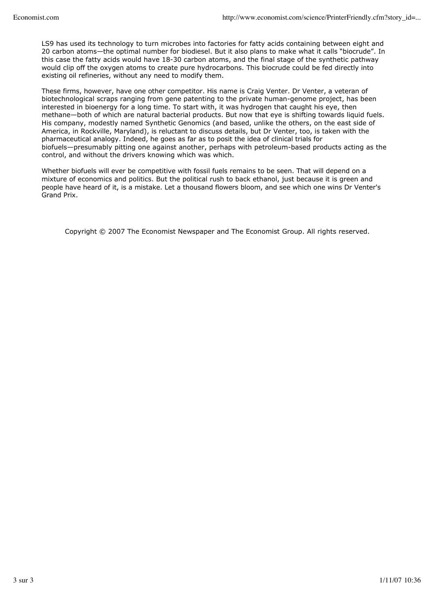LS9 has used its technology to turn microbes into factories for fatty acids containing between eight and 20 carbon atoms—the optimal number for biodiesel. But it also plans to make what it calls "biocrude". In this case the fatty acids would have 18-30 carbon atoms, and the final stage of the synthetic pathway would clip off the oxygen atoms to create pure hydrocarbons. This biocrude could be fed directly into existing oil refineries, without any need to modify them.

These firms, however, have one other competitor. His name is Craig Venter. Dr Venter, a veteran of biotechnological scraps ranging from gene patenting to the private human-genome project, has been interested in bioenergy for a long time. To start with, it was hydrogen that caught his eye, then methane—both of which are natural bacterial products. But now that eye is shifting towards liquid fuels. His company, modestly named Synthetic Genomics (and based, unlike the others, on the east side of America, in Rockville, Maryland), is reluctant to discuss details, but Dr Venter, too, is taken with the pharmaceutical analogy. Indeed, he goes as far as to posit the idea of clinical trials for biofuels—presumably pitting one against another, perhaps with petroleum-based products acting as the control, and without the drivers knowing which was which.

Whether biofuels will ever be competitive with fossil fuels remains to be seen. That will depend on a mixture of economics and politics. But the political rush to back ethanol, just because it is green and people have heard of it, is a mistake. Let a thousand flowers bloom, and see which one wins Dr Venter's Grand Prix.

Copyright © 2007 The Economist Newspaper and The Economist Group. All rights reserved.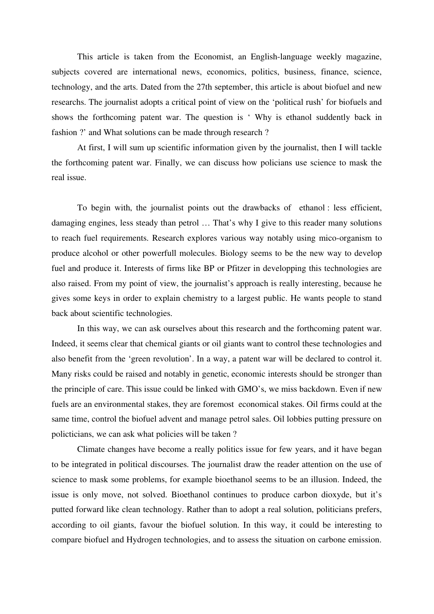This article is taken from the Economist, an English-language weekly magazine, subjects covered are international news, economics, politics, business, finance, science, technology, and the arts. Dated from the 27th september, this article is about biofuel and new researchs. The journalist adopts a critical point of view on the 'political rush' for biofuels and shows the forthcoming patent war. The question is ' Why is ethanol suddently back in fashion ?' and What solutions can be made through research ?

 At first, I will sum up scientific information given by the journalist, then I will tackle the forthcoming patent war. Finally, we can discuss how policians use science to mask the real issue.

 To begin with, the journalist points out the drawbacks of ethanol : less efficient, damaging engines, less steady than petrol … That's why I give to this reader many solutions to reach fuel requirements. Research explores various way notably using mico-organism to produce alcohol or other powerfull molecules. Biology seems to be the new way to develop fuel and produce it. Interests of firms like BP or Pfitzer in developping this technologies are also raised. From my point of view, the journalist's approach is really interesting, because he gives some keys in order to explain chemistry to a largest public. He wants people to stand back about scientific technologies.

 In this way, we can ask ourselves about this research and the forthcoming patent war. Indeed, it seems clear that chemical giants or oil giants want to control these technologies and also benefit from the 'green revolution'. In a way, a patent war will be declared to control it. Many risks could be raised and notably in genetic, economic interests should be stronger than the principle of care. This issue could be linked with GMO's, we miss backdown. Even if new fuels are an environmental stakes, they are foremost economical stakes. Oil firms could at the same time, control the biofuel advent and manage petrol sales. Oil lobbies putting pressure on policticians, we can ask what policies will be taken ?

 Climate changes have become a really politics issue for few years, and it have began to be integrated in political discourses. The journalist draw the reader attention on the use of science to mask some problems, for example bioethanol seems to be an illusion. Indeed, the issue is only move, not solved. Bioethanol continues to produce carbon dioxyde, but it's putted forward like clean technology. Rather than to adopt a real solution, politicians prefers, according to oil giants, favour the biofuel solution. In this way, it could be interesting to compare biofuel and Hydrogen technologies, and to assess the situation on carbone emission.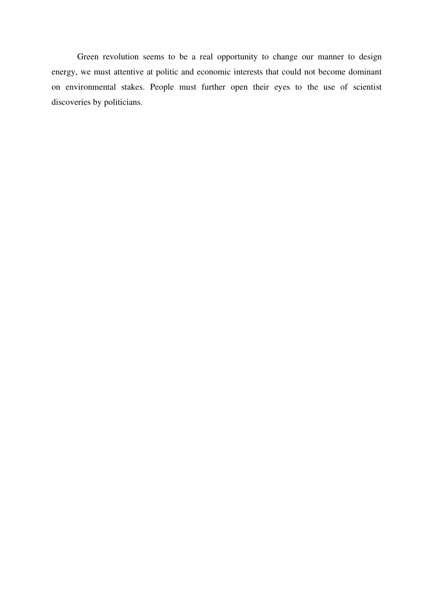Green revolution seems to be a real opportunity to change our manner to design energy, we must attentive at politic and economic interests that could not become dominant on environmental stakes. People must further open their eyes to the use of scientist discoveries by politicians.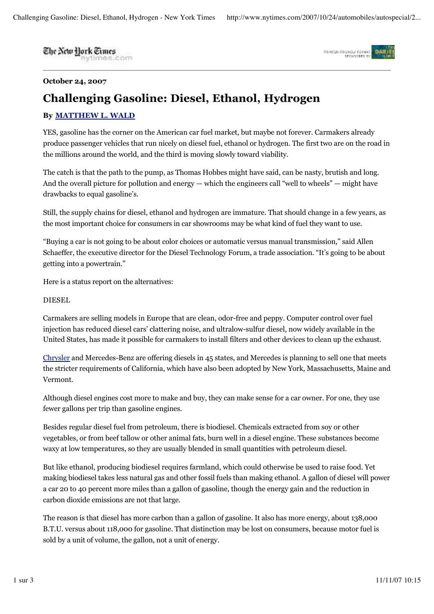The New York Times



#### **October 24, 2007**

# **Challenging Gasoline: Diesel, Ethanol, Hydrogen**

#### **By MATTHEW L. WALD**

YES, gasoline has the corner on the American car fuel market, but maybe not forever. Carmakers already produce passenger vehicles that run nicely on diesel fuel, ethanol or hydrogen. The first two are on the road in the millions around the world, and the third is moving slowly toward viability.

The catch is that the path to the pump, as Thomas Hobbes might have said, can be nasty, brutish and long. And the overall picture for pollution and energy — which the engineers call "well to wheels" — might have drawbacks to equal gasoline's.

Still, the supply chains for diesel, ethanol and hydrogen are immature. That should change in a few years, as the most important choice for consumers in car showrooms may be what kind of fuel they want to use.

"Buying a car is not going to be about color choices or automatic versus manual transmission," said Allen Schaeffer, the executive director for the Diesel Technology Forum, a trade association. "It's going to be about getting into a powertrain."

Here is a status report on the alternatives:

#### DIESEL

Carmakers are selling models in Europe that are clean, odor-free and peppy. Computer control over fuel injection has reduced diesel cars' clattering noise, and ultralow-sulfur diesel, now widely available in the United States, has made it possible for carmakers to install filters and other devices to clean up the exhaust.

Chrysler and Mercedes-Benz are offering diesels in 45 states, and Mercedes is planning to sell one that meets the stricter requirements of California, which have also been adopted by New York, Massachusetts, Maine and Vermont.

Although diesel engines cost more to make and buy, they can make sense for a car owner. For one, they use fewer gallons per trip than gasoline engines.

Besides regular diesel fuel from petroleum, there is biodiesel. Chemicals extracted from soy or other vegetables, or from beef tallow or other animal fats, burn well in a diesel engine. These substances become waxy at low temperatures, so they are usually blended in small quantities with petroleum diesel.

But like ethanol, producing biodiesel requires farmland, which could otherwise be used to raise food. Yet making biodiesel takes less natural gas and other fossil fuels than making ethanol. A gallon of diesel will power a car 20 to 40 percent more miles than a gallon of gasoline, though the energy gain and the reduction in carbon dioxide emissions are not that large.

The reason is that diesel has more carbon than a gallon of gasoline. It also has more energy, about 138,000 B.T.U. versus about 118,000 for gasoline. That distinction may be lost on consumers, because motor fuel is sold by a unit of volume, the gallon, not a unit of energy.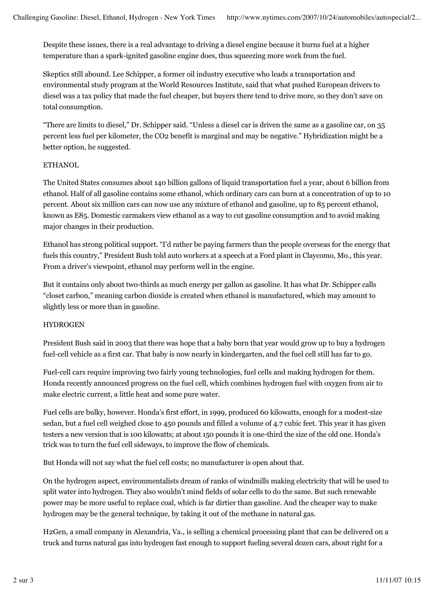Despite these issues, there is a real advantage to driving a diesel engine because it burns fuel at a higher temperature than a spark-ignited gasoline engine does, thus squeezing more work from the fuel.

Skeptics still abound. Lee Schipper, a former oil industry executive who leads a transportation and environmental study program at the World Resources Institute, said that what pushed European drivers to diesel was a tax policy that made the fuel cheaper, but buyers there tend to drive more, so they don't save on total consumption.

"There are limits to diesel," Dr. Schipper said. "Unless a diesel car is driven the same as a gasoline car, on 35 percent less fuel per kilometer, the CO2 benefit is marginal and may be negative." Hybridization might be a better option, he suggested.

#### **ETHANOL**

The United States consumes about 140 billion gallons of liquid transportation fuel a year, about 6 billion from ethanol. Half of all gasoline contains some ethanol, which ordinary cars can burn at a concentration of up to 10 percent. About six million cars can now use any mixture of ethanol and gasoline, up to 85 percent ethanol, known as E85. Domestic carmakers view ethanol as a way to cut gasoline consumption and to avoid making major changes in their production.

Ethanol has strong political support. "I'd rather be paying farmers than the people overseas for the energy that fuels this country," President Bush told auto workers at a speech at a Ford plant in Claycomo, Mo., this year. From a driver's viewpoint, ethanol may perform well in the engine.

But it contains only about two-thirds as much energy per gallon as gasoline. It has what Dr. Schipper calls "closet carbon," meaning carbon dioxide is created when ethanol is manufactured, which may amount to slightly less or more than in gasoline.

#### HYDROGEN

President Bush said in 2003 that there was hope that a baby born that year would grow up to buy a hydrogen fuel-cell vehicle as a first car. That baby is now nearly in kindergarten, and the fuel cell still has far to go.

Fuel-cell cars require improving two fairly young technologies, fuel cells and making hydrogen for them. Honda recently announced progress on the fuel cell, which combines hydrogen fuel with oxygen from air to make electric current, a little heat and some pure water.

Fuel cells are bulky, however. Honda's first effort, in 1999, produced 60 kilowatts, enough for a modest-size sedan, but a fuel cell weighed close to 450 pounds and filled a volume of 4.7 cubic feet. This year it has given testers a new version that is 100 kilowatts; at about 150 pounds it is one-third the size of the old one. Honda's trick was to turn the fuel cell sideways, to improve the flow of chemicals.

But Honda will not say what the fuel cell costs; no manufacturer is open about that.

On the hydrogen aspect, environmentalists dream of ranks of windmills making electricity that will be used to split water into hydrogen. They also wouldn't mind fields of solar cells to do the same. But such renewable power may be more useful to replace coal, which is far dirtier than gasoline. And the cheaper way to make hydrogen may be the general technique, by taking it out of the methane in natural gas.

H2Gen, a small company in Alexandria, Va., is selling a chemical processing plant that can be delivered on a truck and turns natural gas into hydrogen fast enough to support fueling several dozen cars, about right for a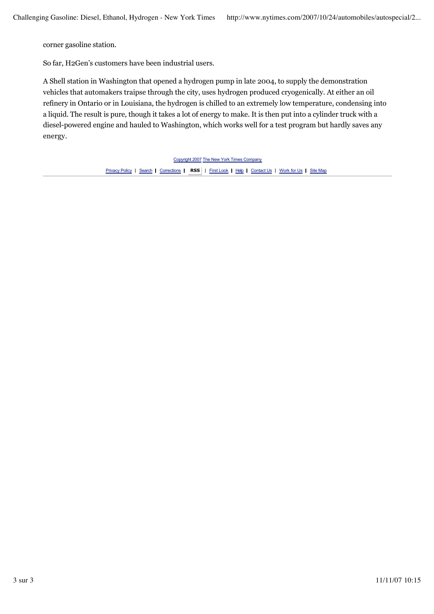corner gasoline station.

So far, H2Gen's customers have been industrial users.

A Shell station in Washington that opened a hydrogen pump in late 2004, to supply the demonstration vehicles that automakers traipse through the city, uses hydrogen produced cryogenically. At either an oil refinery in Ontario or in Louisiana, the hydrogen is chilled to an extremely low temperature, condensing into a liquid. The result is pure, though it takes a lot of energy to make. It is then put into a cylinder truck with a diesel-powered engine and hauled to Washington, which works well for a test program but hardly saves any energy.

Copyright 2007 The New York Times Company

Privacy Policy | Search | Corrections | RSS | | First Look | Help | Contact Us | Work for Us | Site Map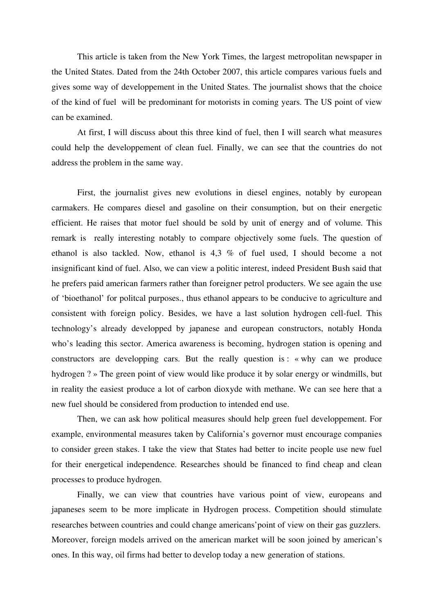This article is taken from the New York Times, the largest metropolitan newspaper in the United States. Dated from the 24th October 2007, this article compares various fuels and gives some way of developpement in the United States. The journalist shows that the choice of the kind of fuel will be predominant for motorists in coming years. The US point of view can be examined.

 At first, I will discuss about this three kind of fuel, then I will search what measures could help the developpement of clean fuel. Finally, we can see that the countries do not address the problem in the same way.

 First, the journalist gives new evolutions in diesel engines, notably by european carmakers. He compares diesel and gasoline on their consumption, but on their energetic efficient. He raises that motor fuel should be sold by unit of energy and of volume. This remark is really interesting notably to compare objectively some fuels. The question of ethanol is also tackled. Now, ethanol is 4,3 % of fuel used, I should become a not insignificant kind of fuel. Also, we can view a politic interest, indeed President Bush said that he prefers paid american farmers rather than foreigner petrol producters. We see again the use of 'bioethanol' for politcal purposes., thus ethanol appears to be conducive to agriculture and consistent with foreign policy. Besides, we have a last solution hydrogen cell-fuel. This technology's already developped by japanese and european constructors, notably Honda who's leading this sector. America awareness is becoming, hydrogen station is opening and constructors are developping cars. But the really question is : « why can we produce hydrogen ? » The green point of view would like produce it by solar energy or windmills, but in reality the easiest produce a lot of carbon dioxyde with methane. We can see here that a new fuel should be considered from production to intended end use.

 Then, we can ask how political measures should help green fuel developpement. For example, environmental measures taken by California's governor must encourage companies to consider green stakes. I take the view that States had better to incite people use new fuel for their energetical independence. Researches should be financed to find cheap and clean processes to produce hydrogen.

 Finally, we can view that countries have various point of view, europeans and japaneses seem to be more implicate in Hydrogen process. Competition should stimulate researches between countries and could change americans'point of view on their gas guzzlers. Moreover, foreign models arrived on the american market will be soon joined by american's ones. In this way, oil firms had better to develop today a new generation of stations.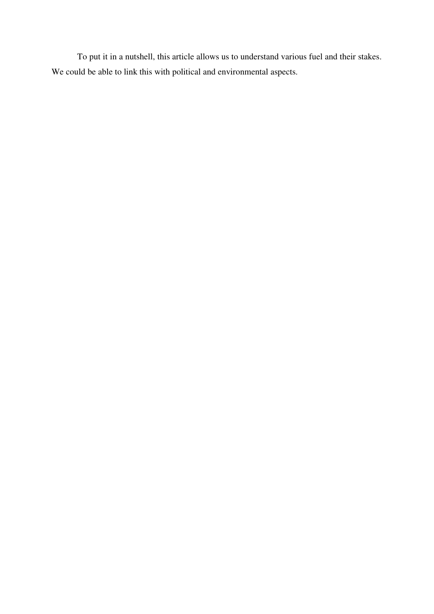To put it in a nutshell, this article allows us to understand various fuel and their stakes. We could be able to link this with political and environmental aspects.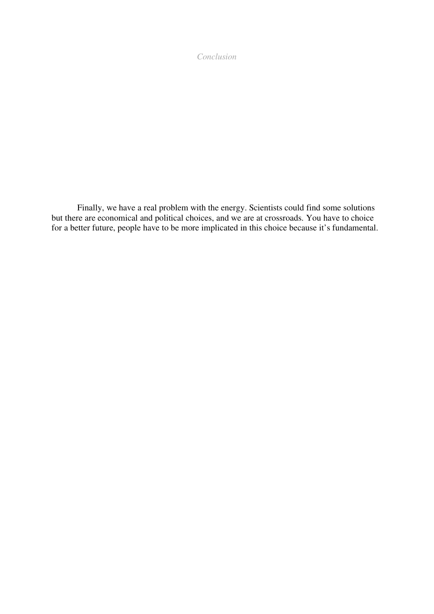*Conclusion* 

 Finally, we have a real problem with the energy. Scientists could find some solutions but there are economical and political choices, and we are at crossroads. You have to choice for a better future, people have to be more implicated in this choice because it's fundamental.